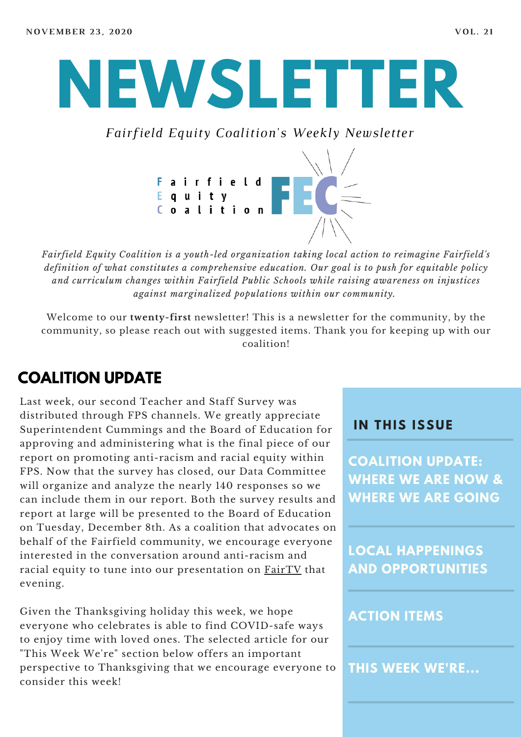

*Fairfield Equity Coalition's Weekly Newsletter*



*Fairfield Equity Coalition is a youth-led organization taking local action to reimagine Fairfield's definition of what constitutes a comprehensive education. Our goal is to push for equitable policy and curriculum changes within Fairfield Public Schools while raising awareness on injustices against marginalized populations within our community.*

Welcome to our **twenty-first** newsletter! This is a newsletter for the community, by the community, so please reach out with suggested items. Thank you for keeping up with our coalition!

## **COALITION UPDATE**

Last week, our second Teacher and Staff Survey was distributed through FPS channels. We greatly appreciate Superintendent Cummings and the Board of Education for approving and administering what is the final piece of our report on promoting anti-racism and racial equity within FPS. Now that the survey has closed, our Data Committee will organize and analyze the nearly 140 responses so we can include them in our report. Both the survey results and report at large will be presented to the Board of Education on Tuesday, December 8th. As a coalition that advocates on behalf of the Fairfield community, we encourage everyone interested in the conversation around anti-racism and racial equity to tune into our presentation on [FairTV](https://fairfieldct.org/fairtv/government) that evening.

Given the Thanksgiving holiday this week, we hope everyone who celebrates is able to find COVID-safe ways to enjoy time with loved ones. The selected article for our "This Week We're" section below offers an important perspective to Thanksgiving that we encourage everyone to consider this week!

#### **I N THIS ISSUE**

**COALITION UPDATE: WHERE WE ARE NOW & WHERE WE ARE GOING**

**LOCAL HAPPENINGS AND OPPORTUNITIES**

#### **ACTION ITEMS**

**THIS WEEK WE'RE...**